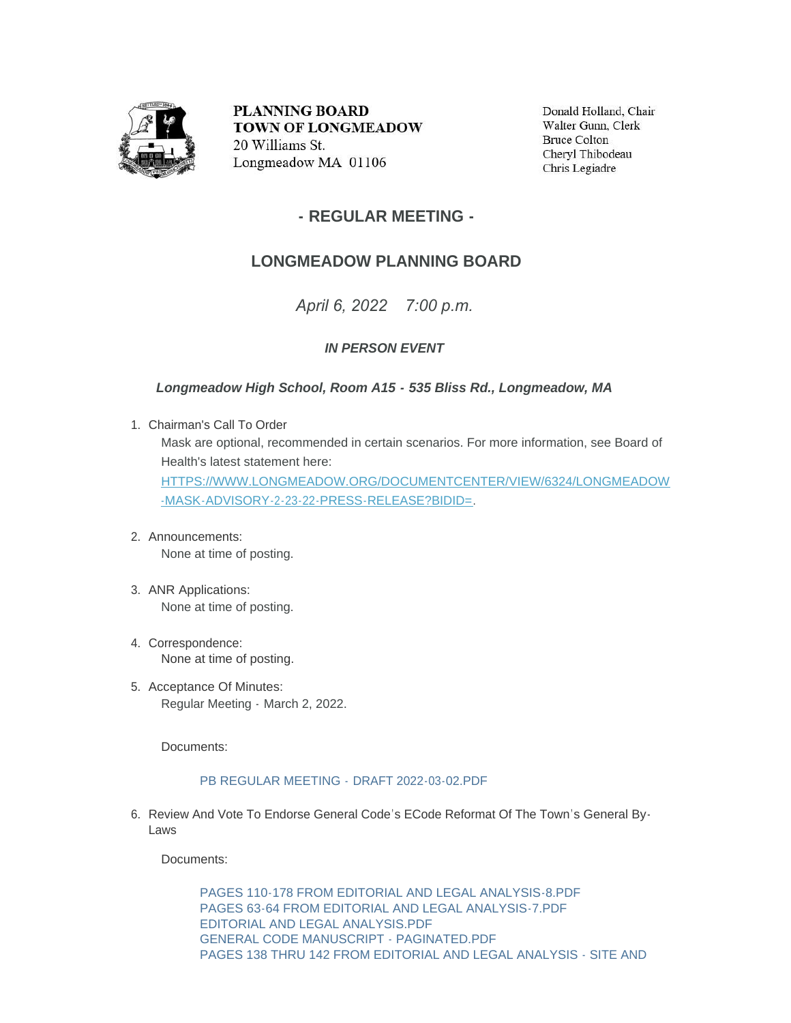

**PLANNING BOARD TOWN OF LONGMEADOW** 20 Williams St. Longmeadow MA 01106

Donald Holland, Chair Walter Gunn, Clerk **Bruce Colton** Cheryl Thibodeau Chris Legiadre

## **- REGULAR MEETING -**

# **LONGMEADOW PLANNING BOARD**

*April 6, 2022 7:00 p.m.*

### *IN PERSON EVENT*

#### *Longmeadow High School, Room A15 - 535 Bliss Rd., Longmeadow, MA*

Chairman's Call To Order 1.

Mask are optional, recommended in certain scenarios. For more information, see Board of Health's latest statement here:

[HTTPS://WWW.LONGMEADOW.ORG/DOCUMENTCENTER/VIEW/6324/LONGMEADOW](https://www.longmeadow.org/DocumentCenter/View/6324/Longmeadow-Mask-Advisory-2-23-22-Press-Release?bidId=) -MASK-ADVISORY-2-23-22-PRESS-RELEASE?BIDID=.

- Announcements: 2. None at time of posting.
- 3. ANR Applications: None at time of posting.
- 4. Correspondence: None at time of posting.
- 5. Acceptance Of Minutes: Regular Meeting - March 2, 2022.

Documents:

#### [PB REGULAR MEETING -](https://www.longmeadow.org/AgendaCenter/ViewFile/Item/2237?fileID=21976) DRAFT 2022-03-02.PDF

6. Review And Vote To Endorse General Code's ECode Reformat Of The Town's General By-Laws

Documents:

[PAGES 110-178 FROM EDITORIAL AND LEGAL ANALYSIS-8.PDF](https://www.longmeadow.org/AgendaCenter/ViewFile/Item/2238?fileID=21977) [PAGES 63-64 FROM EDITORIAL AND LEGAL ANALYSIS-7.PDF](https://www.longmeadow.org/AgendaCenter/ViewFile/Item/2238?fileID=21978) [EDITORIAL AND LEGAL ANALYSIS.PDF](https://www.longmeadow.org/AgendaCenter/ViewFile/Item/2238?fileID=21979) [GENERAL CODE MANUSCRIPT - PAGINATED.PDF](https://www.longmeadow.org/AgendaCenter/ViewFile/Item/2238?fileID=21980) [PAGES 138 THRU 142 FROM EDITORIAL AND LEGAL ANALYSIS - SITE AND](https://www.longmeadow.org/AgendaCenter/ViewFile/Item/2238?fileID=21981)